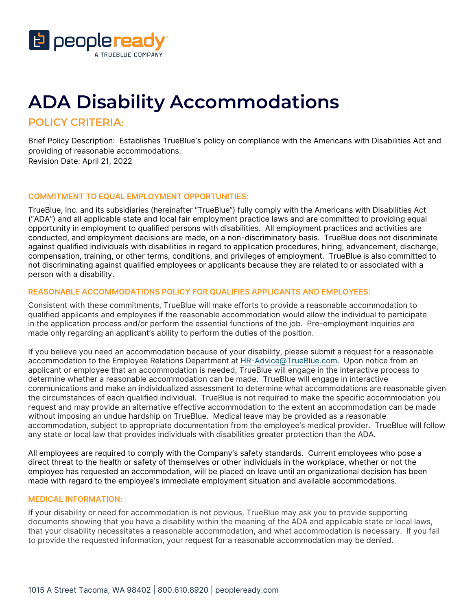

# **ADA Disability Accommodations**

POLICY CRITERIA:

 Brief Policy Description: Establishes TrueBlue's policy on compliance with the Americans with Disabilities Act and Revision Date: April 21, 2022 providing of reasonable accommodations.

# **COMMITMENT TO EQUAL EMPLOYMENT OPPORTUNITIES:**

 TrueBlue, Inc. and its subsidiaries (hereinafter "TrueBlue") fully comply with the Americans with Disabilities Act ("ADA") and all applicable state and local fair employment practice laws and are committed to providing equal opportunity in employment to qualified persons with disabilities. All employment practices and activities are conducted, and employment decisions are made, on a non-discriminatory basis. TrueBlue does not discriminate against qualified individuals with disabilities in regard to application procedures, hiring, advancement, discharge, compensation, training, or other terms, conditions, and privileges of employment. TrueBlue is also committed to not discriminating against qualified employees or applicants because they are related to or associated with a person with a disability.

# **REASONABLE ACCOMMODATIONS POLICY FOR QUALIFIES APPLICANTS AND EMPLOYEES:**

 Consistent with these commitments, TrueBlue will make efforts to provide a reasonable accommodation to qualified applicants and employees if the reasonable accommodation would allow the individual to participate in the application process and/or perform the essential functions of the job. Pre-employment inquiries are made only regarding an applicant's ability to perform the duties of the position.

 accommodation to the Employee Relations Department at [HR-Advice@TrueBlue.com.](mailto:HR-Advice@TrueBlue.com) Upon notice from an applicant or employee that an accommodation is needed, TrueBlue will engage in the interactive process to determine whether a reasonable accommodation can be made. TrueBlue will engage in interactive communications and make an individualized assessment to determine what accommodations are reasonable given the circumstances of each qualified individual. TrueBlue is not required to make the specific accommodation you request and may provide an alternative effective accommodation to the extent an accommodation can be made without imposing an undue hardship on TrueBlue. Medical leave may be provided as a reasonable accommodation, subject to appropriate documentation from the employee's medical provider. TrueBlue will follow any state or local law that provides individuals with disabilities greater protection than the ADA. If you believe you need an accommodation because of your disability, please submit a request for a reasonable

 All employees are required to comply with the Company's safety standards. Current employees who pose a direct threat to the health or safety of themselves or other individuals in the workplace, whether or not the made with regard to the employee's immediate employment situation and available accommodations. employee has requested an accommodation, will be placed on leave until an organizational decision has been

## **MEDICAL INFORMATION:**

 If your disability or need for accommodation is not obvious, TrueBlue may ask you to provide supporting documents showing that you have a disability within the meaning of the ADA and applicable state or local laws, that your disability necessitates a reasonable accommodation, and what accommodation is necessary. If you fail to provide the requested information, your request for a reasonable accommodation may be denied.